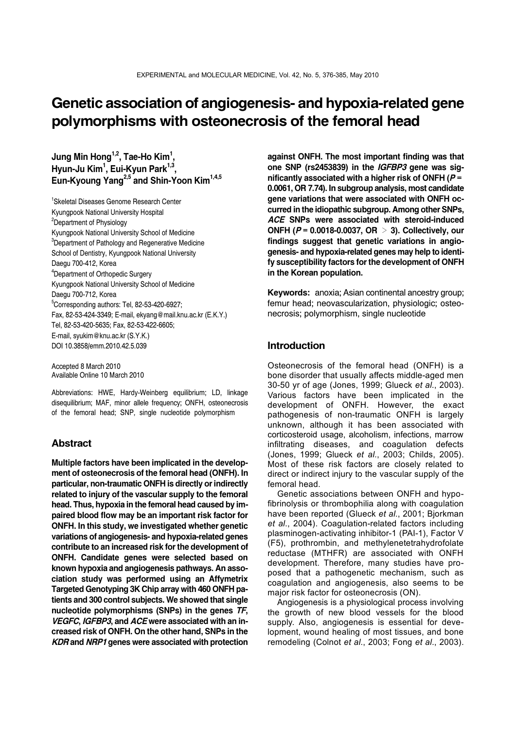# **Genetic association of angiogenesis- and hypoxia-related gene polymorphisms with osteonecrosis of the femoral head**

**Jung Min Hong1,2, Tae-Ho Kim1 , Hyun-Ju Kim1 , Eui-Kyun Park1,3, Eun-Kyoung Yang2,5 and Shin-Yoon Kim1,4,5**

1 Skeletal Diseases Genome Research Center Kyungpook National University Hospital <sup>2</sup>Department of Physiology Kyungpook National University School of Medicine <sup>3</sup>Department of Pathology and Regenerative Medicine School of Dentistry, Kyungpook National University Daegu 700-412, Korea 4 Department of Orthopedic Surgery Kyungpook National University School of Medicine Daegu 700-712, Korea 5 Corresponding authors: Tel, 82-53-420-6927; Fax, 82-53-424-3349; E-mail, ekyang@mail.knu.ac.kr (E.K.Y.) Tel, 82-53-420-5635; Fax, 82-53-422-6605; E-mail, syukim@knu.ac.kr (S.Y.K.) DOI 10.3858/emm.2010.42.5.039

Accepted 8 March 2010 Available Online 10 March 2010

Abbreviations: HWE, Hardy-Weinberg equilibrium; LD, linkage disequilibrium; MAF, minor allele frequency; ONFH, osteonecrosis of the femoral head; SNP, single nucleotide polymorphism

# **Abstract**

**Multiple factors have been implicated in the development of osteonecrosis of the femoral head (ONFH). In particular, non-traumatic ONFH is directly or indirectly related to injury of the vascular supply to the femoral head. Thus, hypoxia in the femoral head caused by impaired blood flow may be an important risk factor for ONFH. In this study, we investigated whether genetic variations of angiogenesis- and hypoxia-related genes contribute to an increased risk for the development of ONFH. Candidate genes were selected based on known hypoxia and angiogenesis pathways. An association study was performed using an Affymetrix Targeted Genotyping 3K Chip array with 460 ONFH patients and 300 control subjects. We showed that single nucleotide polymorphisms (SNPs) in the genes** *TF***,**  *VEGFC***,** *IGFBP3***, and** *ACE* **were associated with an increased risk of ONFH. On the other hand, SNPs in the**  *KDR* **and** *NRP1* **genes were associated with protection** 

**against ONFH. The most important finding was that one SNP (rs2453839) in the** *IGFBP3* **gene was significantly associated with a higher risk of ONFH (***P* **= 0.0061, OR 7.74). In subgroup analysis, most candidate gene variations that were associated with ONFH occurred in the idiopathic subgroup. Among other SNPs,**  *ACE* **SNPs were associated with steroid-induced ONFH (***P* **= 0.0018-0.0037, OR** > **3). Collectively, our findings suggest that genetic variations in angiogenesis- and hypoxia-related genes may help to identify susceptibility factors for the development of ONFH in the Korean population.**

**Keywords:** anoxia; Asian continental ancestry group; femur head; neovascularization, physiologic; osteonecrosis; polymorphism, single nucleotide

# **Introduction**

Osteonecrosis of the femoral head (ONFH) is a bone disorder that usually affects middle-aged men 30-50 yr of age (Jones, 1999; Glueck *et al*., 2003). Various factors have been implicated in the development of ONFH. However, the exact pathogenesis of non-traumatic ONFH is largely unknown, although it has been associated with corticosteroid usage, alcoholism, infections, marrow infiltrating diseases, and coagulation defects (Jones, 1999; Glueck *et al*., 2003; Childs, 2005). Most of these risk factors are closely related to direct or indirect injury to the vascular supply of the femoral head.

 Genetic associations between ONFH and hypofibrinolysis or thrombophilia along with coagulation have been reported (Glueck *et al*., 2001; Bjorkman *et al*., 2004). Coagulation-related factors including plasminogen-activating inhibitor-1 (PAI-1), Factor V (F5), prothrombin, and methylenetetrahydrofolate reductase (MTHFR) are associated with ONFH development. Therefore, many studies have proposed that a pathogenetic mechanism, such as coagulation and angiogenesis, also seems to be major risk factor for osteonecrosis (ON).

 Angiogenesis is a physiological process involving the growth of new blood vessels for the blood supply. Also, angiogenesis is essential for development, wound healing of most tissues, and bone remodeling (Colnot *et al*., 2003; Fong *et al*., 2003).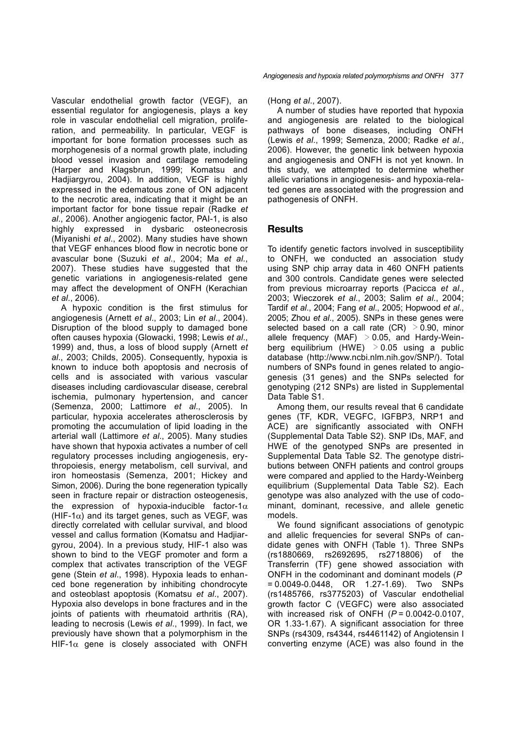Vascular endothelial growth factor (VEGF), an essential regulator for angiogenesis, plays a key role in vascular endothelial cell migration, proliferation, and permeability. In particular, VEGF is important for bone formation processes such as morphogenesis of a normal growth plate, including blood vessel invasion and cartilage remodeling (Harper and Klagsbrun, 1999; Komatsu and Hadjiargyrou, 2004). In addition, VEGF is highly expressed in the edematous zone of ON adjacent to the necrotic area, indicating that it might be an important factor for bone tissue repair (Radke *et al*., 2006). Another angiogenic factor, PAI-1, is also highly expressed in dysbaric osteonecrosis (Miyanishi *et al*., 2002). Many studies have shown that VEGF enhances blood flow in necrotic bone or avascular bone (Suzuki *et al*., 2004; Ma *et al*., 2007). These studies have suggested that the genetic variations in angiogenesis-related gene may affect the development of ONFH (Kerachian *et al*., 2006).

 A hypoxic condition is the first stimulus for angiogenesis (Arnett *et al*., 2003; Lin *et al*., 2004). Disruption of the blood supply to damaged bone often causes hypoxia (Glowacki, 1998; Lewis *et al*., 1999) and, thus, a loss of blood supply (Arnett *et al*., 2003; Childs, 2005). Consequently, hypoxia is known to induce both apoptosis and necrosis of cells and is associated with various vascular diseases including cardiovascular disease, cerebral ischemia, pulmonary hypertension, and cancer (Semenza, 2000; Lattimore *et al*., 2005). In particular, hypoxia accelerates atherosclerosis by promoting the accumulation of lipid loading in the arterial wall (Lattimore *et al*., 2005). Many studies have shown that hypoxia activates a number of cell regulatory processes including angiogenesis, erythropoiesis, energy metabolism, cell survival, and iron homeostasis (Semenza, 2001; Hickey and Simon, 2006). During the bone regeneration typically seen in fracture repair or distraction osteogenesis, the expression of hypoxia-inducible factor-1 $\alpha$ (HIF-1 $\alpha$ ) and its target genes, such as VEGF, was directly correlated with cellular survival, and blood vessel and callus formation (Komatsu and Hadjiargyrou, 2004). In a previous study, HIF-1 also was shown to bind to the VEGF promoter and form a complex that activates transcription of the VEGF gene (Stein *et al*., 1998). Hypoxia leads to enhanced bone regeneration by inhibiting chondrocyte and osteoblast apoptosis (Komatsu *et al*., 2007). Hypoxia also develops in bone fractures and in the joints of patients with rheumatoid arthritis (RA), leading to necrosis (Lewis *et al*., 1999). In fact, we previously have shown that a polymorphism in the HIF-1 $\alpha$  gene is closely associated with ONFH

(Hong *et al*., 2007).

 A number of studies have reported that hypoxia and angiogenesis are related to the biological pathways of bone diseases, including ONFH (Lewis *et al*., 1999; Semenza, 2000; Radke *et al*., 2006). However, the genetic link between hypoxia and angiogenesis and ONFH is not yet known. In this study, we attempted to determine whether allelic variations in angiogenesis- and hypoxia-related genes are associated with the progression and pathogenesis of ONFH.

# **Results**

To identify genetic factors involved in susceptibility to ONFH, we conducted an association study using SNP chip array data in 460 ONFH patients and 300 controls. Candidate genes were selected from previous microarray reports (Pacicca *et al*., 2003; Wieczorek *et al*., 2003; Salim *et al*., 2004; Tardif *et al*., 2004; Fang *et al*., 2005; Hopwood *et al*., 2005; Zhou *et al*., 2005). SNPs in these genes were selected based on a call rate  $(CR) > 0.90$ , minor allele frequency (MAF)  $> 0.05$ , and Hardy-Weinberg equilibrium (HWE)  $>0.05$  using a public database (http://www.ncbi.nlm.nih.gov/SNP/). Total numbers of SNPs found in genes related to angiogenesis (31 genes) and the SNPs selected for genotyping (212 SNPs) are listed in Supplemental Data Table S1.

 Among them, our results reveal that 6 candidate genes (TF, KDR, VEGFC, IGFBP3, NRP1 and ACE) are significantly associated with ONFH (Supplemental Data Table S2). SNP IDs, MAF, and HWE of the genotyped SNPs are presented in Supplemental Data Table S2. The genotype distributions between ONFH patients and control groups were compared and applied to the Hardy-Weinberg equilibrium (Supplemental Data Table S2). Each genotype was also analyzed with the use of codominant, dominant, recessive, and allele genetic models.

 We found significant associations of genotypic and allelic frequencies for several SNPs of candidate genes with ONFH (Table 1). Three SNPs (rs1880669, rs2692695, rs2718806) of the Transferrin (TF) gene showed association with ONFH in the codominant and dominant models (*P* = 0.0049-0.0448, OR 1.27-1.69). Two SNPs (rs1485766, rs3775203) of Vascular endothelial growth factor C (VEGFC) were also associated with increased risk of ONFH (*P* = 0.0042-0.0107, OR 1.33-1.67). A significant association for three SNPs (rs4309, rs4344, rs4461142) of Angiotensin I converting enzyme (ACE) was also found in the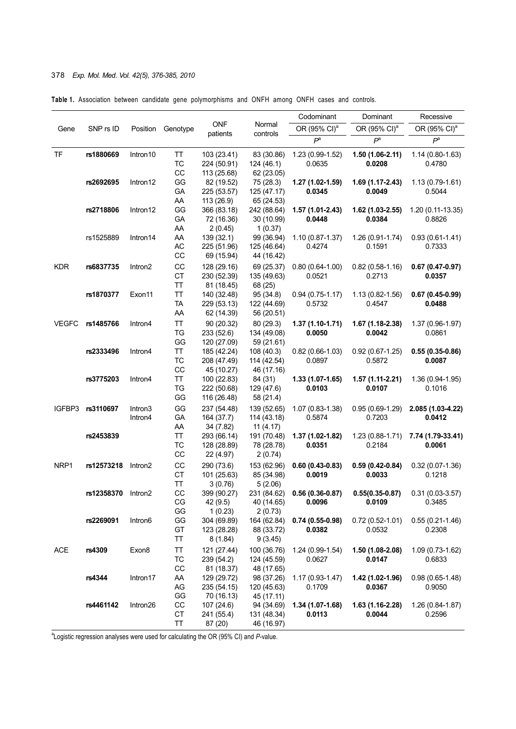# 378 *Exp. Mol. Med. Vol. 42(5), 376-385, 2010*

|  |  |  |  |  | Table 1. Association between candidate gene polymorphisms and ONFH among ONFH cases and controls. |  |  |  |  |  |  |  |  |
|--|--|--|--|--|---------------------------------------------------------------------------------------------------|--|--|--|--|--|--|--|--|
|--|--|--|--|--|---------------------------------------------------------------------------------------------------|--|--|--|--|--|--|--|--|

|              |            |                    |                       |                                           |                                           | Codominant                    | Dominant                      | Recessive                     |
|--------------|------------|--------------------|-----------------------|-------------------------------------------|-------------------------------------------|-------------------------------|-------------------------------|-------------------------------|
| Gene         | SNP rs ID  | Position           | Genotype              | <b>ONF</b><br>patients                    | Normal<br>controls                        | OR (95% CI) <sup>a</sup>      | OR (95% CI) <sup>a</sup>      | OR (95% CI) <sup>a</sup>      |
|              |            |                    |                       |                                           |                                           | $P^a$                         | $P^a$                         | $P^a$                         |
| TF           | rs1880669  | Intron10           | TT<br>TC<br>CC        | 103 (23.41)<br>224 (50.91)<br>113 (25.68) | 83 (30.86)<br>124 (46.1)<br>62 (23.05)    | 1.23 (0.99-1.52)<br>0.0635    | 1.50 (1.06-2.11)<br>0.0208    | $1.14(0.80-1.63)$<br>0.4780   |
|              | rs2692695  | Intron12           | GG<br>GA<br>AA        | 82 (19.52)<br>225 (53.57)<br>113 (26.9)   | 75 (28.3)<br>125 (47.17)<br>65 (24.53)    | 1.27 (1.02-1.59)<br>0.0345    | 1.69 (1.17-2.43)<br>0.0049    | $1.13(0.79-1.61)$<br>0.5044   |
|              | rs2718806  | Intron12           | GG<br>GA<br>AA        | 366 (83.18)<br>72 (16.36)<br>2(0.45)      | 242 (88.64)<br>30 (10.99)<br>1(0.37)      | 1.57 (1.01-2.43)<br>0.0448    | 1.62 (1.03-2.55)<br>0.0384    | 1.20 (0.11-13.35)<br>0.8826   |
|              | rs1525889  | Intron14           | AA<br>AC<br>CC        | 139 (32.1)<br>225 (51.96)<br>69 (15.94)   | 99 (36.94)<br>125 (46.64)<br>44 (16.42)   | $1.10(0.87 - 1.37)$<br>0.4274 | 1.26 (0.91-1.74)<br>0.1591    | $0.93(0.61 - 1.41)$<br>0.7333 |
| <b>KDR</b>   | rs6837735  | Intron2            | CC<br>CT<br>TT        | 128 (29.16)<br>230 (52.39)<br>81 (18.45)  | 69 (25.37)<br>135 (49.63)<br>68 (25)      | $0.80(0.64-1.00)$<br>0.0521   | $0.82(0.58-1.16)$<br>0.2713   | $0.67(0.47-0.97)$<br>0.0357   |
|              | rs1870377  | Exon11             | TT<br><b>TA</b><br>AA | 140 (32.48)<br>229 (53.13)<br>62 (14.39)  | 95 (34.8)<br>122 (44.69)<br>56 (20.51)    | $0.94(0.75-1.17)$<br>0.5732   | 1.13 (0.82-1.56)<br>0.4547    | $0.67(0.45-0.99)$<br>0.0488   |
| <b>VEGFC</b> | rs1485766  | Intron4            | TT<br><b>TG</b><br>GG | 90 (20.32)<br>233 (52.6)<br>120 (27.09)   | 80 (29.3)<br>134 (49.08)<br>59 (21.61)    | $1.37(1.10-1.71)$<br>0.0050   | 1.67 (1.18-2.38)<br>0.0042    | 1.37 (0.96-1.97)<br>0.0861    |
|              | rs2333496  | Intron4            | TT<br>TC<br>CC        | 185 (42.24)<br>208 (47.49)<br>45 (10.27)  | 108 (40.3)<br>114 (42.54)<br>46 (17.16)   | $0.82(0.66-1.03)$<br>0.0897   | $0.92(0.67-1.25)$<br>0.5872   | $0.55(0.35-0.86)$<br>0.0087   |
|              | rs3775203  | Intron4            | TT<br>TG<br>GG        | 100 (22.83)<br>222 (50.68)<br>116 (26.48) | 84 (31)<br>129 (47.6)<br>58 (21.4)        | $1.33(1.07-1.65)$<br>0.0103   | 1.57 (1.11-2.21)<br>0.0107    | 1.36 (0.94-1.95)<br>0.1016    |
| IGFBP3       | rs3110697  | Intron3<br>Intron4 | GG<br>GA<br>AA        | 237 (54.48)<br>164 (37.7)<br>34 (7.82)    | 139 (52.65)<br>114 (43.18)<br>11 $(4.17)$ | 1.07 (0.83-1.38)<br>0.5874    | $0.95(0.69-1.29)$<br>0.7203   | 2.085 (1.03-4.22)<br>0.0412   |
|              | rs2453839  |                    | TT<br>TC<br>CC        | 293 (66.14)<br>128 (28.89)<br>22 (4.97)   | 191 (70.48)<br>78 (28.78)<br>2(0.74)      | 1.37 (1.02-1.82)<br>0.0351    | $1.23(0.88-1.71)$<br>0.2184   | 7.74 (1.79-33.41)<br>0.0061   |
| NRP1         | rs12573218 | Intron2            | CC<br><b>CT</b><br>TT | 290 (73.6)<br>101 (25.63)<br>3(0.76)      | 153 (62.96)<br>85 (34.98)<br>5(2.06)      | $0.60(0.43-0.83)$<br>0.0019   | $0.59(0.42 - 0.84)$<br>0.0033 | $0.32(0.07-1.36)$<br>0.1218   |
|              | rs12358370 | Intron2            | CC<br>CG<br>GG        | 399 (90.27)<br>42 (9.5)<br>1(0.23)        | 231 (84.62)<br>40 (14.65)<br>2(0.73)      | $0.56(0.36-0.87)$<br>0.0096   | $0.55(0.35-0.87)$<br>0.0109   | $0.31(0.03-3.57)$<br>0.3485   |
|              | rs2269091  | Intron6            | GG<br>GT<br>TT        | 304 (69.89)<br>123 (28.28)<br>8(1.84)     | 164 (62.84)<br>88 (33.72)<br>9(3.45)      | $0.74(0.55-0.98)$<br>0.0382   | $0.72(0.52 - 1.01)$<br>0.0532 | $0.55(0.21 - 1.46)$<br>0.2308 |
| <b>ACE</b>   | rs4309     | Exon8              | TT<br>TC<br>CC        | 121 (27.44)<br>239 (54.2)<br>81 (18.37)   | 100 (36.76)<br>124 (45.59)<br>48 (17.65)  | 1.24 (0.99-1.54)<br>0.0627    | 1.50 (1.08-2.08)<br>0.0147    | 1.09 (0.73-1.62)<br>0.6833    |
|              | rs4344     | Intron17           | AA<br>AG<br>GG        | 129 (29.72)<br>235 (54.15)<br>70 (16.13)  | 98 (37.26)<br>120 (45.63)<br>45 (17.11)   | $1.17(0.93 - 1.47)$<br>0.1709 | 1.42 (1.02-1.96)<br>0.0367    | $0.98(0.65-1.48)$<br>0.9050   |
|              | rs4461142  | Intron26           | СC<br>CT<br>TT        | 107 (24.6)<br>241 (55.4)<br>87 (20)       | 94 (34.69)<br>131 (48.34)<br>46 (16.97)   | 1.34 (1.07-1.68)<br>0.0113    | $1.63(1.16-2.28)$<br>0.0044   | 1.26 (0.84-1.87)<br>0.2596    |

<sup>a</sup> Logistic regression analyses were used for calculating the OR (95% CI) and P-value.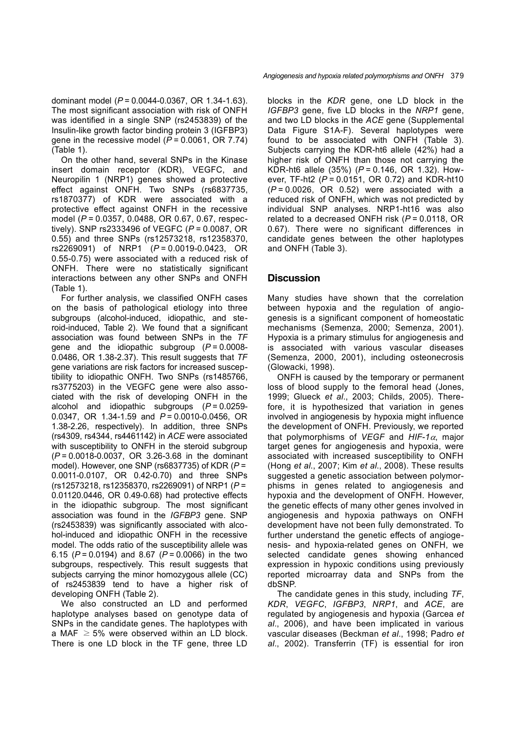dominant model (*P* = 0.0044-0.0367, OR 1.34-1.63). The most significant association with risk of ONFH was identified in a single SNP (rs2453839) of the Insulin-like growth factor binding protein 3 (IGFBP3) gene in the recessive model ( $\overline{P}$  = 0.0061, OR 7.74) (Table 1).

 On the other hand, several SNPs in the Kinase insert domain receptor (KDR), VEGFC, and Neuropilin 1 (NRP1) genes showed a protective effect against ONFH. Two SNPs (rs6837735, rs1870377) of KDR were associated with a protective effect against ONFH in the recessive model (*P* = 0.0357, 0.0488, OR 0.67, 0.67, respectively). SNP rs2333496 of VEGFC (*P* = 0.0087, OR 0.55) and three SNPs (rs12573218, rs12358370, rs2269091) of NRP1 (*P* = 0.0019-0.0423, OR 0.55-0.75) were associated with a reduced risk of ONFH. There were no statistically significant interactions between any other SNPs and ONFH (Table 1).

 For further analysis, we classified ONFH cases on the basis of pathological etiology into three subgroups (alcohol-induced, idiopathic, and steroid-induced, Table 2). We found that a significant association was found between SNPs in the *TF*  gene and the idiopathic subgroup (*P* = 0.0008- 0.0486, OR 1.38-2.37). This result suggests that *TF*  gene variations are risk factors for increased susceptibility to idiopathic ONFH. Two SNPs (rs1485766, rs3775203) in the VEGFC gene were also associated with the risk of developing ONFH in the alcohol and idiopathic subgroups (*P* = 0.0259- 0.0347, OR 1.34-1.59 and *P* = 0.0010-0.0456, OR 1.38-2.26, respectively). In addition, three SNPs (rs4309, rs4344, rs4461142) in *ACE* were associated with susceptibility to ONFH in the steroid subgroup (*P* = 0.0018-0.0037, OR 3.26-3.68 in the dominant model). However, one SNP (rs6837735) of KDR (*P* = 0.0011-0.0107, OR 0.42-0.70) and three SNPs (rs12573218, rs12358370, rs2269091) of NRP1 (*P* = 0.01120.0446, OR 0.49-0.68) had protective effects in the idiopathic subgroup. The most significant association was found in the *IGFBP3* gene. SNP (rs2453839) was significantly associated with alcohol-induced and idiopathic ONFH in the recessive model. The odds ratio of the susceptibility allele was 6.15 (*P* = 0.0194) and 8.67 (*P* = 0.0066) in the two subgroups, respectively. This result suggests that subjects carrying the minor homozygous allele (CC) of rs2453839 tend to have a higher risk of developing ONFH (Table 2).

 We also constructed an LD and performed haplotype analyses based on genotype data of SNPs in the candidate genes. The haplotypes with a MAF  $\geq$  5% were observed within an LD block. There is one LD block in the TF gene, three LD

*Angiogenesis and hypoxia related polymorphisms and ONFH* 379

blocks in the *KDR* gene, one LD block in the *IGFBP3* gene, five LD blocks in the *NRP1* gene, and two LD blocks in the *ACE* gene (Supplemental Data Figure S1A-F). Several haplotypes were found to be associated with ONFH (Table 3). Subjects carrying the KDR-ht6 allele (42%) had a higher risk of ONFH than those not carrying the KDR-ht6 allele (35%) (*P* = 0.146, OR 1.32). However, TF-ht2 (*P* = 0.0151, OR 0.72) and KDR-ht10 (*P* = 0.0026, OR 0.52) were associated with a reduced risk of ONFH, which was not predicted by individual SNP analyses. NRP1-ht16 was also related to a decreased ONFH risk (*P* = 0.0118, OR 0.67). There were no significant differences in candidate genes between the other haplotypes and ONFH (Table 3).

# **Discussion**

Many studies have shown that the correlation between hypoxia and the regulation of angiogenesis is a significant component of homeostatic mechanisms (Semenza, 2000; Semenza, 2001). Hypoxia is a primary stimulus for angiogenesis and is associated with various vascular diseases (Semenza, 2000, 2001), including osteonecrosis (Glowacki, 1998).

 ONFH is caused by the temporary or permanent loss of blood supply to the femoral head (Jones, 1999; Glueck *et al*., 2003; Childs, 2005). Therefore, it is hypothesized that variation in genes involved in angiogenesis by hypoxia might influence the development of ONFH. Previously, we reported that polymorphisms of *VEGF* and *HIF*-*1*α, major target genes for angiogenesis and hypoxia, were associated with increased susceptibility to ONFH (Hong *et al*., 2007; Kim *et al*., 2008). These results suggested a genetic association between polymorphisms in genes related to angiogenesis and hypoxia and the development of ONFH. However, the genetic effects of many other genes involved in angiogenesis and hypoxia pathways on ONFH development have not been fully demonstrated. To further understand the genetic effects of angiogenesis- and hypoxia-related genes on ONFH, we selected candidate genes showing enhanced expression in hypoxic conditions using previously reported microarray data and SNPs from the dbSNP.

 The candidate genes in this study, including *TF*, *KDR*, *VEGFC*, *IGFBP3*, *NRP1*, and *ACE*, are regulated by angiogenesis and hypoxia (Garcea *et al*., 2006), and have been implicated in various vascular diseases (Beckman *et al*., 1998; Padro *et al*., 2002). Transferrin (TF) is essential for iron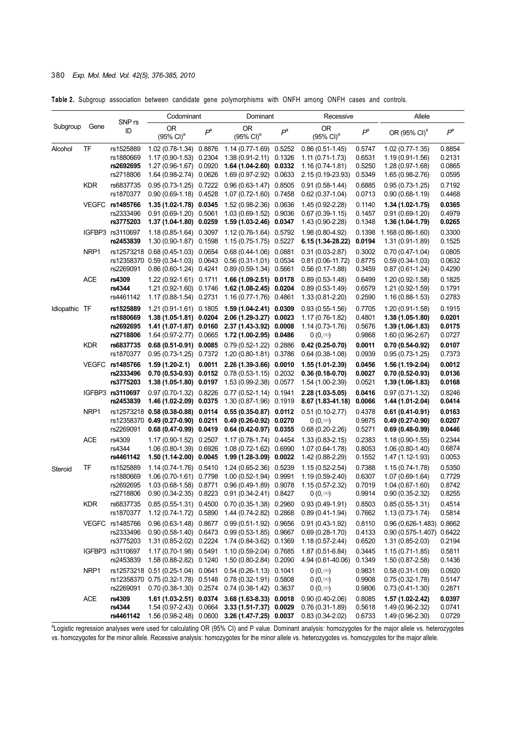#### 380 *Exp. Mol. Med. Vol. 42(5), 376-385, 2010*

**Table 2.** Subgroup association between candidate gene polymorphisms with ONFH among ONFH cases and controls.

|               |            |                                                  |                                                                                                      | Codominant |                                                                                                       | Dominant         |                                                                                  | Recessive                            |                                                                                 | Allele                               |  |
|---------------|------------|--------------------------------------------------|------------------------------------------------------------------------------------------------------|------------|-------------------------------------------------------------------------------------------------------|------------------|----------------------------------------------------------------------------------|--------------------------------------|---------------------------------------------------------------------------------|--------------------------------------|--|
| Subgroup      | Gene       | SNP <sub>rs</sub><br>ID                          | 0R<br>$(95\% \text{ Cl})^a$                                                                          | $P^a$      | <b>OR</b><br>$(95\% \text{ Cl})^a$                                                                    | $P^a$            | <b>OR</b><br>$(95\% \text{ Cl})^a$                                               | $P^{a}$                              | OR (95% CI) <sup>a</sup>                                                        | $P^a$                                |  |
| Alcohol       | TF         | rs1525889<br>rs1880669<br>rs2692695<br>rs2718806 | 1.02 (0.78-1.34) 0.8876<br>1.17 (0.90-1.53) 0.2304<br>$1.27(0.96-1.67)$<br>1.64 (0.98-2.74) 0.0626   | 0.0920     | 1.14 (0.77-1.69) 0.5252<br>1.38 (0.91-2.11) 0.1326<br>1.64 (1.04-2.60) 0.0332<br>1.69 (0.97-2.92)     | 0.0633           | $0.86(0.51-1.45)$<br>$1.11(0.71-1.73)$<br>$1.16(0.74-1.81)$<br>2.15 (0.19-23.93) | 0.5747<br>0.6531<br>0.5250<br>0.5349 | $1.02(0.77-1.35)$<br>$1.19(0.91-1.56)$<br>1.28 (0.97-1.68)<br>1.65 (0.98-2.76)  | 0.8854<br>0.2131<br>0.0865<br>0.0595 |  |
|               | <b>KDR</b> | rs6837735<br>rs1870377                           | 0.95 (0.73-1.25) 0.7222<br>$0.90(0.69-1.18)$ 0.4528                                                  |            | $0.96(0.63-1.47)$<br>$1.07(0.72 - 1.60)$                                                              | 0.8505<br>0.7458 | $0.91(0.58-1.44)$<br>$0.62(0.37-1.04)$                                           | 0.6885<br>0.0713                     | $0.95(0.73-1.25)$<br>$0.90(0.68-1.19)$                                          | 0.7192<br>0.4468                     |  |
|               |            | VEGFC rs1485766<br>rs2333496<br>rs3775203        | 1.35 (1.02-1.78) 0.0345<br>0.91 (0.69-1.20) 0.5061<br>1.37 (1.04-1.80) 0.0259                        |            | 1.52 (0.98-2.36) 0.0636<br>$1.03(0.69-1.52)$<br>1.59 (1.03-2.46) 0.0347                               | 0.9036           | 1.45 (0.92-2.28)<br>$0.67(0.39 - 1.15)$<br>1.43 (0.90-2.28)                      | 0.1140<br>0.1457<br>0.1348           | $1.34(1.02 - 1.75)$<br>$0.91(0.69-1.20)$<br>1.36 (1.04-1.79)                    | 0.0365<br>0.4979<br>0.0265           |  |
|               |            | IGFBP3 rs3110697<br>rs2453839                    | 1.18 (0.85-1.64) 0.3097<br>1.30 (0.90-1.87) 0.1598                                                   |            | 1.12 (0.76-1.64) 0.5792<br>1.15 (0.75-1.75) 0.5227                                                    |                  | 1.98 (0.80-4.92)<br>6.15 (1.34 28.22)                                            | 0.1398<br>0.0194                     | 1.168 (0.86-1.60)<br>1.31 (0.91-1.89)                                           | 0.3300<br>0.1525                     |  |
|               | NRP1       | rs12573218<br>rs12358370<br>rs2269091            | $0.68(0.45-1.03)$ 0.0654<br>0.59 (0.34-1.03) 0.0643<br>$0.86(0.60-1.24)$ 0.4241                      |            | $0.68(0.44 - 1.06)$ 0.0881<br>$0.56(0.31-1.01)$<br>$0.89(0.59-1.34)$                                  | 0.0534<br>0.5661 | $0.31(0.03 - 2.87)$<br>$0.81(0.06-11.72)$<br>$0.56(0.17-1.88)$                   | 0.3002<br>0.8775<br>0.3459           | $0.70(0.47-1.04)$<br>$0.59(0.34-1.03)$<br>$0.87(0.61-1.24)$                     | 0.0805<br>0.0632<br>0.4290           |  |
|               | ACE        | rs4309<br>rs4344<br>rs4461142                    | 1.22 (0.92-1.61) 0.1711<br>1.21 (0.92-1.60) 0.1746<br>1.17 (0.88-1.54) 0.2731                        |            | 1.66 (1.09-2.51) 0.0178<br>$1.62(1.08-2.45)$ 0.0204<br>1.16 (0.77-1.76) 0.4861                        |                  | $0.89(0.53 - 1.48)$<br>$0.89(0.53-1.49)$<br>1.33 (0.81-2.20)                     | 0.6499<br>0.6579<br>0.2590           | 1.20 (0.92-1.58)<br>1.21 (0.92-1.59)<br>1.16 (0.88-1.53)                        | 0.1825<br>0.1791<br>0.2783           |  |
| Idiopathic TF |            | rs1525889<br>rs1880669<br>rs2692695<br>rs2718806 | 1.21 (0.91-1.61) 0.1805<br>1.38 (1.05-1.81) 0.0204<br>1.41 (1.07-1.87) 0.0160<br>1.64 (0.97-2.77)    | 0.0665     | 1.59 (1.04-2.41) 0.0309<br>2.06 (1.29-3.27)<br>2.37 (1.43-3.92)<br>1.72 (1.00-2.95) 0.0486            | 0.0023<br>0.0008 | $0.93(0.55-1.56)$<br>1.17 (0.76-1.82)<br>$1.14(0.73-1.76)$<br>$0(0,\infty)$      | 0.7705<br>0.4801<br>0.5676<br>0.9868 | 1.20 (0.91-1.58)<br>1.38 (1.05-1.80)<br>1.39 (1.06-1.83)<br>1.60 (0.96-2.67)    | 0.1915<br>0.0201<br>0.0175<br>0.0727 |  |
|               | <b>KDR</b> | rs6837735<br>rs1870377                           | $0.68(0.51-0.91)$ 0.0085<br>$0.95(0.73-1.25)$ 0.7372                                                 |            | 0.79 (0.52-1.22) 0.2886<br>1.20 (0.80-1.81) 0.3786                                                    |                  | $0.42(0.25-0.70)$<br>$0.64(0.38-1.08)$                                           | 0.0011<br>0.0939                     | $0.70(0.54-0.92)$<br>$0.95(0.73-1.25)$                                          | 0.0107<br>0.7373                     |  |
|               |            | VEGFC rs1485766<br>rs2333496<br>rs3775203        | $1.59(1.20-2.1)$<br>$0.70(0.53-0.93)$ 0.0152<br>$1.38(1.05-1.80)$ 0.0197                             | 0.0011     | 2.26 (1.39-3.66) 0.0010<br>$0.78(0.53-1.15)$ 0.2032<br>1.53 (0.99-2.38) 0.0577                        |                  | 1.55 (1.01-2.39)<br>$0.36(0.18-0.70)$<br>1.54 (1.00-2.39)                        | 0.0456<br>0.0027<br>0.0521           | 1.56 (1.19-2.04)<br>$0.70(0.52-0.93)$<br>$1.39(1.06-1.83)$                      | 0.0012<br>0.0136<br>0.0168           |  |
|               |            | IGFBP3 rs3110697<br>rs2453839                    | 0.97 (0.70-1.32) 0.8226<br>1.46 (1.02-2.09) 0.0375                                                   |            | 0.77 (0.52-1.14) 0.1941<br>1.30 (0.87-1.96) 0.1919                                                    |                  | $2.28(1.03 - 5.05)$<br>8.67 (1.83-41.18)                                         | 0.0416<br>0.0066                     | $0.97(0.71-1.32)$<br>1.44 (1.01-2.04)                                           | 0.8246<br>0.0414                     |  |
|               | NRP1       | rs12358370<br>rs2269091                          | rs12573218 0.58 (0.38-0.88) 0.0114<br>$0.49(0.27-0.90)$ 0.0211<br>$0.68(0.47-0.99)$ 0.0419           |            | $0.55(0.35-0.87)$ 0.0112<br>0.49 (0.26-0.92) 0.0270<br>$0.64(0.42-0.97)$ 0.0355                       |                  | $0.51(0.10-2.77)$<br>0 (0, $\infty$ )<br>$0.68(0.20-2.26)$                       | 0.4378<br>0.9875<br>0.5271           | $0.61(0.41-0.91)$<br>$0.49(0.27-0.90)$<br>$0.69(0.48-0.99)$                     | 0.0163<br>0.0207<br>0.0446           |  |
|               | <b>ACE</b> | rs4309<br>rs4344<br>rs4461142                    | 1.17 (0.90-1.52) 0.2507<br>1.06 (0.80-1.39) 0.6926<br>$1.50(1.14-2.00)$ 0.0045                       |            | 1.17 (0.78-1.74) 0.4454<br>$1.08(0.72 - 1.62)$<br>1.99 (1.28-3.09) 0.0022                             | 0.6990           | $1.33(0.83 - 2.15)$<br>1.07 (0.64-1.78)<br>1.42 (0.88-2.29)                      | 0.2383<br>0.8053<br>0.1552           | $1.18(0.90-1.55)$<br>$1.06(0.80-1.40)$<br>1.47 (1.12-1.93)                      | 0.2344<br>0.6874<br>0.0053           |  |
| Steroid       | TF         | rs1525889<br>rs1880669<br>rs2692695<br>rs2718806 | 1.14 (0.74-1.76)<br>1.06 (0.70-1.61) 0.7798<br>1.03 (0.68-1.58) 0.8771<br>0.90 (0.34-2.35) 0.8223    | 0.5410     | $1.24(0.65-2.36)$<br>1.00 (0.52-1.94) 0.9991<br>0.96 (0.49-1.89) 0.9078<br>0.91 (0.34-2.41) 0.8427    | 0.5239           | $1.15(0.52 - 2.54)$<br>$1.19(0.59-2.40)$<br>1.15 (0.57-2.32)<br>$0(0,\infty)$    | 0.7388<br>0.6307<br>0.7019<br>0.9914 | $1.15(0.74-1.78)$<br>1.07 (0.69-1.64)<br>$1.04(0.67-1.60)$<br>$0.90(0.35-2.32)$ | 0.5350<br>0.7729<br>0.8742<br>0.8255 |  |
|               | <b>KDR</b> | rs6837735<br>rs1870377                           | 1.12 (0.74-1.72) 0.5890                                                                              |            | 0.85 (0.55-1.31) 0.4500 0.70 (0.35-1.38) 0.2960<br>1.44 (0.74-2.82) 0.2868                            |                  | $0.93(0.49-1.91)$<br>$0.89(0.41-1.94)$                                           | 0.8503<br>0.7662                     | $0.85(0.55-1.31)$<br>$1.13(0.73-1.74)$                                          | 0.4514<br>0.5814                     |  |
|               |            | VEGFC rs1485766<br>rs2333496<br>rs3775203        | 0.96 (0.63-1.48) 0.8677<br>$0.90(0.58-1.40)$ 0.6473<br>1.31 (0.85-2.02) 0.2224                       |            | 0.99 (0.51-1.92) 0.9656<br>$0.99(0.53-1.85)$ 0.9667<br>1.74 (0.84-3.62)                               | 0.1369           | 0.91 (0.43-1.92)<br>$0.69(0.28-1.70)$<br>1.18 (0.57-2.44)                        | 0.8110<br>0.4133<br>0.6520           | $0.96(0.626 - 1.483)$<br>$0.90(0.575 - 1.407)$<br>1.31 (0.85-2.03)              | 0.8662<br>0.6422<br>0.2194           |  |
|               |            | IGFBP3 rs3110697<br>rs2453839                    | 1.17 (0.70-1.98) 0.5491<br>1.58 (0.88-2.82) 0.1240                                                   |            | $1.10(0.59-2.04)$<br>1.50 (0.80-2.84) 0.2090                                                          | 0.7685           | 1.87 (0.51-6.84)<br>4.94 (0.61-40.06)                                            | 0.3445<br>0.1349                     | $1.15(0.71-1.85)$<br>$1.50(0.87 - 2.58)$                                        | 0.5811<br>0.1436                     |  |
|               | NRP1       | rs2269091                                        | rs12573218 0.51 (0.25-1.04) 0.0641<br>rs12358370 0.75 (0.32-1.78) 0.5148<br>$0.70(0.38-1.30)$ 0.2574 |            | $0.54(0.26-1.13)0.1041$<br>0.78 (0.32-1.91) 0.5808<br>0.74 (0.38-1.42) 0.3637                         |                  | $0(0,\infty)$<br>$0(0,\infty)$<br>$0(0,\infty)$                                  | 0.9831<br>0.9908<br>0.9806           | $0.58(0.31-1.09)$<br>$0.75(0.32 - 1.78)$<br>$0.73(0.41-1.30)$                   | 0.0920<br>0.5147<br>0.2871           |  |
|               | ACE        | rs4309<br>rs4344<br>rs4461142                    | 1.61 (1.03-2.51) 0.0374<br>1.54 (0.97-2.43) 0.0664                                                   |            | 3.68 (1.63-8.33) 0.0018<br>3.33 (1.51-7.37) 0.0029<br>1.56 (0.98-2.48) 0.0600 3.26 (1.47-7.25) 0.0037 |                  | $0.90(0.40-2.06)$<br>$0.76(0.31-1.89)$<br>$0.83(0.34-2.02)$                      | 0.8085<br>0.5618<br>0.6733           | 1.57 (1.02-2.42)<br>1.49 (0.96-2.32)<br>1.49 (0.96-2.30)                        | 0.0397<br>0.0741<br>0.0729           |  |

<sup>a</sup>Logistic regression analyses were used for calculating OR (95% CI) and P value. Dominant analysis: homozygotes for the major allele vs. heterozygotes vs. homozygotes for the minor allele. Recessive analysis: homozygotes for the minor allele vs. heterozygotes vs. homozygotes for the major allele.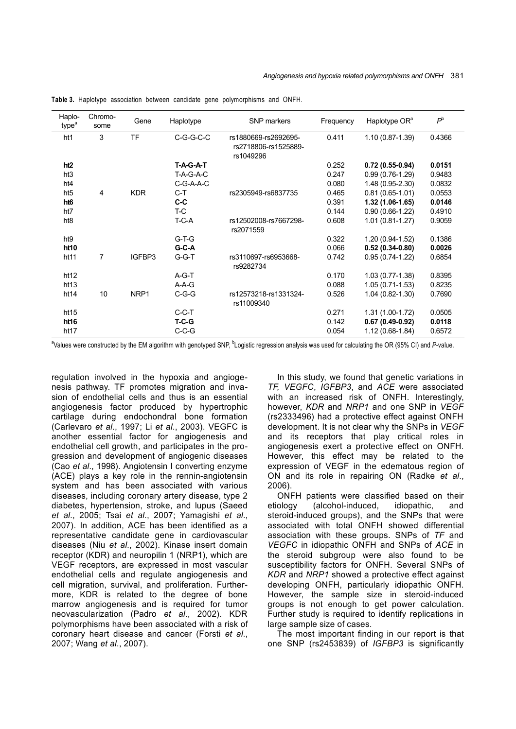| Haplo-<br>type <sup>a</sup> | Chromo-<br>some | Gene             | Haplotype | SNP markers                                               | Frequency | Haplotype OR <sup>a</sup> | $P^{\rm b}$ |
|-----------------------------|-----------------|------------------|-----------|-----------------------------------------------------------|-----------|---------------------------|-------------|
| ht1                         | 3               | <b>TF</b>        | C-G-G-C-C | rs1880669-rs2692695-<br>rs2718806-rs1525889-<br>rs1049296 | 0.411     | 1.10 (0.87-1.39)          | 0.4366      |
| ht <sub>2</sub>             |                 |                  | T-A-G-A-T |                                                           | 0.252     | $0.72(0.55-0.94)$         | 0.0151      |
| ht3                         |                 |                  | T-A-G-A-C |                                                           | 0.247     | $0.99(0.76-1.29)$         | 0.9483      |
| ht4                         |                 |                  | C-G-A-A-C |                                                           | 0.080     | 1.48 (0.95-2.30)          | 0.0832      |
| ht <sub>5</sub>             | 4               | <b>KDR</b>       | $C-T$     | rs2305949-rs6837735                                       | 0.465     | $0.81(0.65 - 1.01)$       | 0.0553      |
| ht <sub>6</sub>             |                 |                  | $C-C$     |                                                           | 0.391     | $1.32(1.06-1.65)$         | 0.0146      |
| ht7                         |                 |                  | T-C       |                                                           | 0.144     | $0.90(0.66-1.22)$         | 0.4910      |
| ht <sub>8</sub>             |                 |                  | $T-C-A$   | rs12502008-rs7667298-<br>rs2071559                        | 0.608     | $1.01(0.81 - 1.27)$       | 0.9059      |
| ht <sub>9</sub>             |                 |                  | $G-T-G$   |                                                           | 0.322     | 1.20 (0.94-1.52)          | 0.1386      |
| ht10                        |                 |                  | $G-C-A$   |                                                           | 0.066     | $0.52(0.34-0.80)$         | 0.0026      |
| ht <sub>11</sub>            | 7               | IGFBP3           | $G-G-T$   | rs3110697-rs6953668-<br>rs9282734                         | 0.742     | $0.95(0.74-1.22)$         | 0.6854      |
| ht12                        |                 |                  | $A-G-T$   |                                                           | 0.170     | $1.03(0.77-1.38)$         | 0.8395      |
| ht13                        |                 |                  | $A-A-G$   |                                                           | 0.088     | $1.05(0.71-1.53)$         | 0.8235      |
| ht14                        | 10              | NRP <sub>1</sub> | $C-G-G$   | rs12573218-rs1331324-<br>rs11009340                       | 0.526     | 1.04 (0.82-1.30)          | 0.7690      |
| ht15                        |                 |                  | $C-C-T$   |                                                           | 0.271     | 1.31 (1.00-1.72)          | 0.0505      |
| ht16                        |                 |                  | $T-C-G$   |                                                           | 0.142     | $0.67(0.49-0.92)$         | 0.0118      |
| ht <sub>17</sub>            |                 |                  | $C-C-G$   |                                                           | 0.054     | 1.12 (0.68-1.84)          | 0.6572      |

**Table 3.** Haplotype association between candidate gene polymorphisms and ONFH.

<sup>a</sup>Values were constructed by the EM algorithm with genotyped SNP, <sup>b</sup>Logistic regression analysis was used for calculating the OR (95% CI) and *P*-value.

regulation involved in the hypoxia and angiogenesis pathway. TF promotes migration and invasion of endothelial cells and thus is an essential angiogenesis factor produced by hypertrophic cartilage during endochondral bone formation (Carlevaro *et al*., 1997; Li *et al*., 2003). VEGFC is another essential factor for angiogenesis and endothelial cell growth, and participates in the progression and development of angiogenic diseases (Cao *et al*., 1998). Angiotensin I converting enzyme (ACE) plays a key role in the rennin-angiotensin system and has been associated with various diseases, including coronary artery disease, type 2 diabetes, hypertension, stroke, and lupus (Saeed *et al*., 2005; Tsai *et al*., 2007; Yamagishi *et al*., 2007). In addition, ACE has been identified as a representative candidate gene in cardiovascular diseases (Niu *et al*., 2002). Kinase insert domain receptor (KDR) and neuropilin 1 (NRP1), which are VEGF receptors, are expressed in most vascular endothelial cells and regulate angiogenesis and cell migration, survival, and proliferation. Furthermore, KDR is related to the degree of bone marrow angiogenesis and is required for tumor neovascularization (Padro *et al*., 2002). KDR polymorphisms have been associated with a risk of coronary heart disease and cancer (Forsti *et al*., 2007; Wang *et al*., 2007).

 In this study, we found that genetic variations in *TF, VEGFC*, *IGFBP3*, and *ACE* were associated with an increased risk of ONFH. Interestingly, however, *KDR* and *NRP1* and one SNP in *VEGF*  (rs2333496) had a protective effect against ONFH development. It is not clear why the SNPs in *VEGF*  and its receptors that play critical roles in angiogenesis exert a protective effect on ONFH. However, this effect may be related to the expression of VEGF in the edematous region of ON and its role in repairing ON (Radke *et al*., 2006).

 ONFH patients were classified based on their etiology (alcohol-induced, idiopathic, and steroid-induced groups), and the SNPs that were associated with total ONFH showed differential association with these groups. SNPs of *TF* and *VEGFC* in idiopathic ONFH and SNPs of *ACE* in the steroid subgroup were also found to be susceptibility factors for ONFH. Several SNPs of *KDR* and *NRP1* showed a protective effect against developing ONFH, particularly idiopathic ONFH. However, the sample size in steroid-induced groups is not enough to get power calculation. Further study is required to identify replications in large sample size of cases.

 The most important finding in our report is that one SNP (rs2453839) of *IGFBP3* is significantly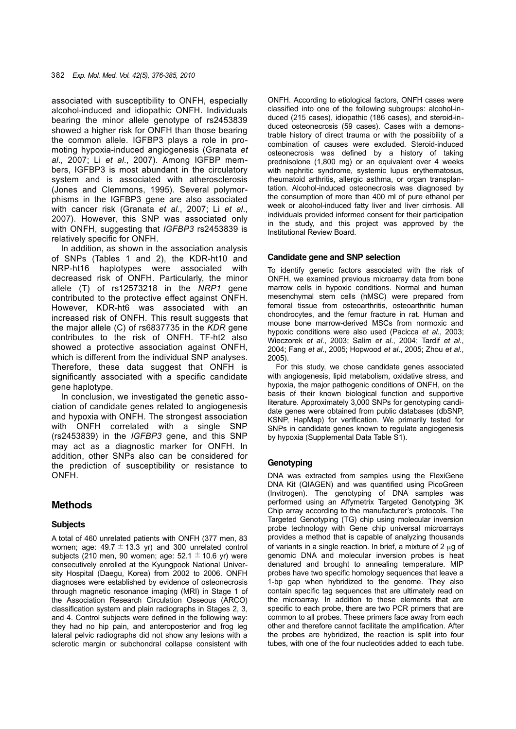associated with susceptibility to ONFH, especially alcohol-induced and idiopathic ONFH. Individuals bearing the minor allele genotype of rs2453839 showed a higher risk for ONFH than those bearing the common allele. IGFBP3 plays a role in promoting hypoxia-induced angiogenesis (Granata *et al*., 2007; Li *et al*., 2007). Among IGFBP members, IGFBP3 is most abundant in the circulatory system and is associated with atherosclerosis (Jones and Clemmons, 1995). Several polymorphisms in the IGFBP3 gene are also associated with cancer risk (Granata *et al*., 2007; Li *et al*., 2007). However, this SNP was associated only with ONFH, suggesting that *IGFBP3* rs2453839 is relatively specific for ONFH.

 In addition, as shown in the association analysis of SNPs (Tables 1 and 2), the KDR-ht10 and NRP-ht16 haplotypes were associated with decreased risk of ONFH. Particularly, the minor allele (T) of rs12573218 in the *NRP1* gene contributed to the protective effect against ONFH. However, KDR-ht6 was associated with an increased risk of ONFH. This result suggests that the major allele (C) of rs6837735 in the *KDR* gene contributes to the risk of ONFH. TF-ht2 also showed a protective association against ONFH. which is different from the individual SNP analyses. Therefore, these data suggest that ONFH is significantly associated with a specific candidate gene haplotype.

 In conclusion, we investigated the genetic association of candidate genes related to angiogenesis and hypoxia with ONFH. The strongest association with ONFH correlated with a single SNP (rs2453839) in the *IGFBP3* gene, and this SNP may act as a diagnostic marker for ONFH. In addition, other SNPs also can be considered for the prediction of susceptibility or resistance to ONFH.

# **Methods**

#### **Subjects**

A total of 460 unrelated patients with ONFH (377 men, 83 women; age:  $49.7 \pm 13.3$  yr) and 300 unrelated control subjects (210 men, 90 women; age:  $52.1 \pm 10.6$  yr) were consecutively enrolled at the Kyungpook National University Hospital (Daegu, Korea) from 2002 to 2006. ONFH diagnoses were established by evidence of osteonecrosis through magnetic resonance imaging (MRI) in Stage 1 of the Association Research Circulation Osseous (ARCO) classification system and plain radiographs in Stages 2, 3, and 4. Control subjects were defined in the following way: they had no hip pain, and anteroposterior and frog leg lateral pelvic radiographs did not show any lesions with a sclerotic margin or subchondral collapse consistent with

ONFH. According to etiological factors, ONFH cases were classified into one of the following subgroups: alcohol-induced (215 cases), idiopathic (186 cases), and steroid-induced osteonecrosis (59 cases). Cases with a demonstrable history of direct trauma or with the possibility of a combination of causes were excluded. Steroid-induced osteonecrosis was defined by a history of taking prednisolone (1,800 mg) or an equivalent over 4 weeks with nephritic syndrome, systemic lupus erythematosus, rheumatoid arthritis, allergic asthma, or organ transplantation. Alcohol-induced osteonecrosis was diagnosed by the consumption of more than 400 ml of pure ethanol per week or alcohol-induced fatty liver and liver cirrhosis. All individuals provided informed consent for their participation in the study, and this project was approved by the Institutional Review Board.

#### **Candidate gene and SNP selection**

To identify genetic factors associated with the risk of ONFH, we examined previous microarray data from bone marrow cells in hypoxic conditions. Normal and human mesenchymal stem cells (hMSC) were prepared from femoral tissue from osteoarthritis, osteoarthritic human chondrocytes, and the femur fracture in rat. Human and mouse bone marrow-derived MSCs from normoxic and hypoxic conditions were also used (Pacicca *et al*., 2003; Wieczorek *et al*., 2003; Salim *et al*., 2004; Tardif *et al*., 2004; Fang *et al*., 2005; Hopwood *et al*., 2005; Zhou *et al*., 2005).

 For this study, we chose candidate genes associated with angiogenesis, lipid metabolism, oxidative stress, and hypoxia, the major pathogenic conditions of ONFH, on the basis of their known biological function and supportive literature. Approximately 3,000 SNPs for genotyping candidate genes were obtained from public databases (dbSNP, KSNP, HapMap) for verification. We primarily tested for SNPs in candidate genes known to regulate angiogenesis by hypoxia (Supplemental Data Table S1).

#### **Genotyping**

DNA was extracted from samples using the FlexiGene DNA Kit (QIAGEN) and was quantified using PicoGreen (Invitrogen). The genotyping of DNA samples was performed using an Affymetrix Targeted Genotyping 3K Chip array according to the manufacturer's protocols. The Targeted Genotyping (TG) chip using molecular inversion probe technology with Gene chip universal microarrays provides a method that is capable of analyzing thousands of variants in a single reaction. In brief, a mixture of 2 μg of genomic DNA and molecular inversion probes is heat denatured and brought to annealing temperature. MIP probes have two specific homology sequences that leave a 1-bp gap when hybridized to the genome. They also contain specific tag sequences that are ultimately read on the microarray. In addition to these elements that are specific to each probe, there are two PCR primers that are common to all probes. These primers face away from each other and therefore cannot facilitate the amplification. After the probes are hybridized, the reaction is split into four tubes, with one of the four nucleotides added to each tube.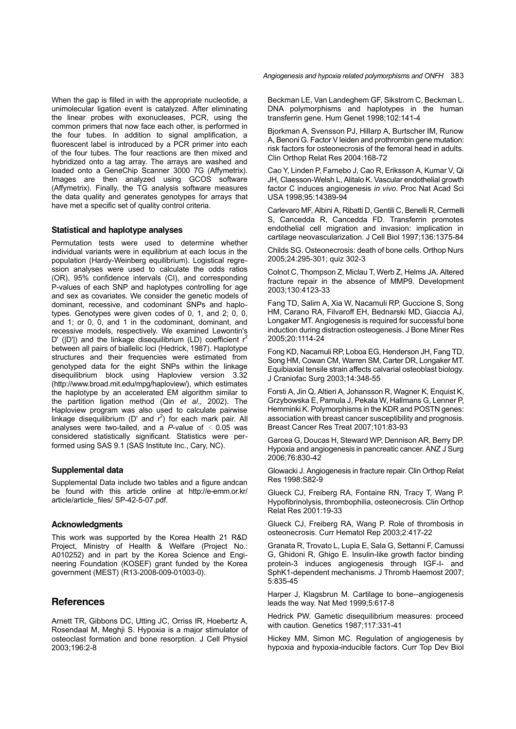When the gap is filled in with the appropriate nucleotide, a unimolecular ligation event is catalyzed. After eliminating the linear probes with exonucleases, PCR, using the common primers that now face each other, is performed in the four tubes. In addition to signal amplification, a fluorescent label is introduced by a PCR primer into each of the four tubes. The four reactions are then mixed and hybridized onto a tag array. The arrays are washed and loaded onto a GeneChip Scanner 3000 7G (Affymetrix). Images are then analyzed using GCOS software (Affymetrix). Finally, the TG analysis software measures the data quality and generates genotypes for arrays that have met a specific set of quality control criteria.

#### **Statistical and haplotype analyses**

Permutation tests were used to determine whether individual variants were in equilibrium at each locus in the population (Hardy-Weinberg equilibrium). Logistical regression analyses were used to calculate the odds ratios (OR), 95% confidence intervals (CI), and corresponding P-values of each SNP and haplotypes controlling for age and sex as covariates. We consider the genetic models of dominant, recessive, and codominant SNPs and haplotypes. Genotypes were given codes of 0, 1, and 2; 0, 0, and 1; or 0, 0, and 1 in the codominant, dominant, and recessive models, respectively. We examined Lewontin's D' ( $|D'|$ ) and the linkage disequilibrium (LD) coefficient  $r^2$ between all pairs of biallelic loci (Hedrick, 1987). Haplotype structures and their frequencies were estimated from genotyped data for the eight SNPs within the linkage disequilibrium block using Haploview version 3.32 (http://www.broad.mit.edu/mpg/haploview/), which estimates the haplotype by an accelerated EM algorithm similar to the partition ligation method (Qin *et al*., 2002). The Haploview program was also used to calculate pairwise linkage disequilibrium  $(D'$  and  $r^2$ ) for each mark pair. All analyses were two-tailed, and a  $P$ -value of  $\leq 0.05$  was considered statistically significant. Statistics were performed using SAS 9.1 (SAS Institute Inc., Cary, NC).

#### **Supplemental data**

Supplemental Data include two tables and a figure andcan be found with this article online at http://e-emm.or.kr/ article/article\_files/ SP-42-5-07.pdf.

#### **Acknowledgments**

This work was supported by the Korea Health 21 R&D Project, Ministry of Health & Welfare (Project No.: A010252) and in part by the Korea Science and Engineering Foundation (KOSEF) grant funded by the Korea government (MEST) (R13-2008-009-01003-0).

#### **References**

Arnett TR, Gibbons DC, Utting JC, Orriss IR, Hoebertz A, Rosendaal M, Meghji S. Hypoxia is a major stimulator of osteoclast formation and bone resorption. J Cell Physiol 2003;196:2-8

Beckman LE, Van Landeghem GF, Sikstrom C, Beckman L. DNA polymorphisms and haplotypes in the human transferrin gene. Hum Genet 1998;102:141-4

Bjorkman A, Svensson PJ, Hillarp A, Burtscher IM, Runow A, Benoni G. Factor V leiden and prothrombin gene mutation: risk factors for osteonecrosis of the femoral head in adults. Clin Orthop Relat Res 2004:168-72

Cao Y, Linden P, Farnebo J, Cao R, Eriksson A, Kumar V, Qi JH, Claesson-Welsh L, Alitalo K. Vascular endothelial growth factor C induces angiogenesis *in vivo*. Proc Nat Acad Sci USA 1998;95:14389-94

Carlevaro MF, Albini A, Ribatti D, Gentili C, Benelli R, Cermelli S, Cancedda R, Cancedda FD. Transferrin promotes endothelial cell migration and invasion: implication in cartilage neovascularization. J Cell Biol 1997;136:1375-84

Childs SG. Osteonecrosis: death of bone cells. Orthop Nurs 2005;24:295-301; quiz 302-3

Colnot C, Thompson Z, Miclau T, Werb Z, Helms JA. Altered fracture repair in the absence of MMP9. Development 2003;130:4123-33

Fang TD, Salim A, Xia W, Nacamuli RP, Guccione S, Song HM, Carano RA, Filvaroff EH, Bednarski MD, Giaccia AJ, Longaker MT. Angiogenesis is required for successful bone induction during distraction osteogenesis. J Bone Miner Res 2005;20:1114-24

Fong KD, Nacamuli RP, Loboa EG, Henderson JH, Fang TD, Song HM, Cowan CM, Warren SM, Carter DR, Longaker MT. Equibiaxial tensile strain affects calvarial osteoblast biology. J Craniofac Surg 2003;14:348-55

Forsti A, Jin Q, Altieri A, Johansson R, Wagner K, Enquist K, Grzybowska E, Pamula J, Pekala W, Hallmans G, Lenner P, Hemminki K. Polymorphisms in the KDR and POSTN genes: association with breast cancer susceptibility and prognosis. Breast Cancer Res Treat 2007;101:83-93

Garcea G, Doucas H, Steward WP, Dennison AR, Berry DP. Hypoxia and angiogenesis in pancreatic cancer. ANZ J Surg 2006;76:830-42

Glowacki J. Angiogenesis in fracture repair. Clin Orthop Relat Res 1998:S82-9

Glueck CJ, Freiberg RA, Fontaine RN, Tracy T, Wang P. Hypofibrinolysis, thrombophilia, osteonecrosis. Clin Orthop Relat Res 2001:19-33

Glueck CJ, Freiberg RA, Wang P. Role of thrombosis in osteonecrosis. Curr Hematol Rep 2003;2:417-22

Granata R, Trovato L, Lupia E, Sala G, Settanni F, Camussi G, Ghidoni R, Ghigo E. Insulin-like growth factor binding protein-3 induces angiogenesis through IGF-I- and SphK1-dependent mechanisms. J Thromb Haemost 2007; 5:835-45

Harper J, Klagsbrun M. Cartilage to bone--angiogenesis leads the way. Nat Med 1999;5:617-8

Hedrick PW. Gametic disequilibrium measures: proceed with caution. Genetics 1987;117:331-41

Hickey MM, Simon MC. Regulation of angiogenesis by hypoxia and hypoxia-inducible factors. Curr Top Dev Biol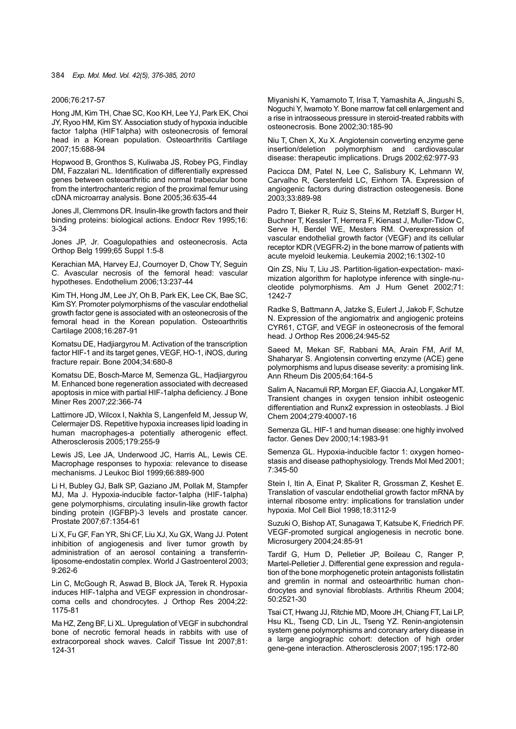#### 2006;76:217-57

Hong JM, Kim TH, Chae SC, Koo KH, Lee YJ, Park EK, Choi JY, Ryoo HM, Kim SY. Association study of hypoxia inducible factor 1alpha (HIF1alpha) with osteonecrosis of femoral head in a Korean population. Osteoarthritis Cartilage 2007;15:688-94

Hopwood B, Gronthos S, Kuliwaba JS, Robey PG, Findlay DM, Fazzalari NL. Identification of differentially expressed genes between osteoarthritic and normal trabecular bone from the intertrochanteric region of the proximal femur using cDNA microarray analysis. Bone 2005;36:635-44

Jones JI, Clemmons DR. Insulin-like growth factors and their binding proteins: biological actions. Endocr Rev 1995;16: 3-34

Jones JP, Jr. Coagulopathies and osteonecrosis. Acta Orthop Belg 1999;65 Suppl 1:5-8

Kerachian MA, Harvey EJ, Cournoyer D, Chow TY, Seguin C. Avascular necrosis of the femoral head: vascular hypotheses. Endothelium 2006;13:237-44

Kim TH, Hong JM, Lee JY, Oh B, Park EK, Lee CK, Bae SC, Kim SY. Promoter polymorphisms of the vascular endothelial growth factor gene is associated with an osteonecrosis of the femoral head in the Korean population. Osteoarthritis Cartilage 2008;16:287-91

Komatsu DE, Hadjiargyrou M. Activation of the transcription factor HIF-1 and its target genes, VEGF, HO-1, iNOS, during fracture repair. Bone 2004;34:680-8

Komatsu DE, Bosch-Marce M, Semenza GL, Hadjiargyrou M. Enhanced bone regeneration associated with decreased apoptosis in mice with partial HIF-1alpha deficiency. J Bone Miner Res 2007;22:366-74

Lattimore JD, Wilcox I, Nakhla S, Langenfeld M, Jessup W, Celermajer DS. Repetitive hypoxia increases lipid loading in human macrophages-a potentially atherogenic effect. Atherosclerosis 2005;179:255-9

Lewis JS, Lee JA, Underwood JC, Harris AL, Lewis CE. Macrophage responses to hypoxia: relevance to disease mechanisms. J Leukoc Biol 1999;66:889-900

Li H, Bubley GJ, Balk SP, Gaziano JM, Pollak M, Stampfer MJ, Ma J. Hypoxia-inducible factor-1alpha (HIF-1alpha) gene polymorphisms, circulating insulin-like growth factor binding protein (IGFBP)-3 levels and prostate cancer. Prostate 2007;67:1354-61

Li X, Fu GF, Fan YR, Shi CF, Liu XJ, Xu GX, Wang JJ. Potent inhibition of angiogenesis and liver tumor growth by administration of an aerosol containing a transferrinliposome-endostatin complex. World J Gastroenterol 2003; 9:262-6

Lin C, McGough R, Aswad B, Block JA, Terek R. Hypoxia induces HIF-1alpha and VEGF expression in chondrosarcoma cells and chondrocytes. J Orthop Res 2004;22: 1175-81

Ma HZ, Zeng BF, Li XL. Upregulation of VEGF in subchondral bone of necrotic femoral heads in rabbits with use of extracorporeal shock waves. Calcif Tissue Int 2007;81: 124-31

Miyanishi K, Yamamoto T, Irisa T, Yamashita A, Jingushi S, Noguchi Y, Iwamoto Y. Bone marrow fat cell enlargement and a rise in intraosseous pressure in steroid-treated rabbits with osteonecrosis. Bone 2002;30:185-90

Niu T, Chen X, Xu X. Angiotensin converting enzyme gene insertion/deletion polymorphism and cardiovascular disease: therapeutic implications. Drugs 2002;62:977-93

Pacicca DM, Patel N, Lee C, Salisbury K, Lehmann W, Carvalho R, Gerstenfeld LC, Einhorn TA. Expression of angiogenic factors during distraction osteogenesis. Bone 2003;33:889-98

Padro T, Bieker R, Ruiz S, Steins M, Retzlaff S, Burger H, Buchner T, Kessler T, Herrera F, Kienast J, Muller-Tidow C, Serve H, Berdel WE, Mesters RM. Overexpression of vascular endothelial growth factor (VEGF) and its cellular receptor KDR (VEGFR-2) in the bone marrow of patients with acute myeloid leukemia. Leukemia 2002;16:1302-10

Qin ZS, Niu T, Liu JS. Partition-ligation-expectation- maximization algorithm for haplotype inference with single-nucleotide polymorphisms. Am J Hum Genet 2002;71: 1242-7

Radke S, Battmann A, Jatzke S, Eulert J, Jakob F, Schutze N. Expression of the angiomatrix and angiogenic proteins CYR61, CTGF, and VEGF in osteonecrosis of the femoral head. J Orthop Res 2006;24:945-52

Saeed M, Mekan SF, Rabbani MA, Arain FM, Arif M, Shaharyar S. Angiotensin converting enzyme (ACE) gene polymorphisms and lupus disease severity: a promising link. Ann Rheum Dis 2005;64:164-5

Salim A, Nacamuli RP, Morgan EF, Giaccia AJ, Longaker MT. Transient changes in oxygen tension inhibit osteogenic differentiation and Runx2 expression in osteoblasts. J Biol Chem 2004;279:40007-16

Semenza GL. HIF-1 and human disease: one highly involved factor. Genes Dev 2000;14:1983-91

Semenza GL. Hypoxia-inducible factor 1: oxygen homeostasis and disease pathophysiology. Trends Mol Med 2001; 7:345-50

Stein I, Itin A, Einat P, Skaliter R, Grossman Z, Keshet E. Translation of vascular endothelial growth factor mRNA by internal ribosome entry: implications for translation under hypoxia. Mol Cell Biol 1998;18:3112-9

Suzuki O, Bishop AT, Sunagawa T, Katsube K, Friedrich PF. VEGF-promoted surgical angiogenesis in necrotic bone. Microsurgery 2004;24:85-91

Tardif G, Hum D, Pelletier JP, Boileau C, Ranger P, Martel-Pelletier J. Differential gene expression and regulation of the bone morphogenetic protein antagonists follistatin and gremlin in normal and osteoarthritic human chondrocytes and synovial fibroblasts. Arthritis Rheum 2004; 50:2521-30

Tsai CT, Hwang JJ, Ritchie MD, Moore JH, Chiang FT, Lai LP, Hsu KL, Tseng CD, Lin JL, Tseng YZ. Renin-angiotensin system gene polymorphisms and coronary artery disease in a large angiographic cohort: detection of high order gene-gene interaction. Atherosclerosis 2007;195:172-80